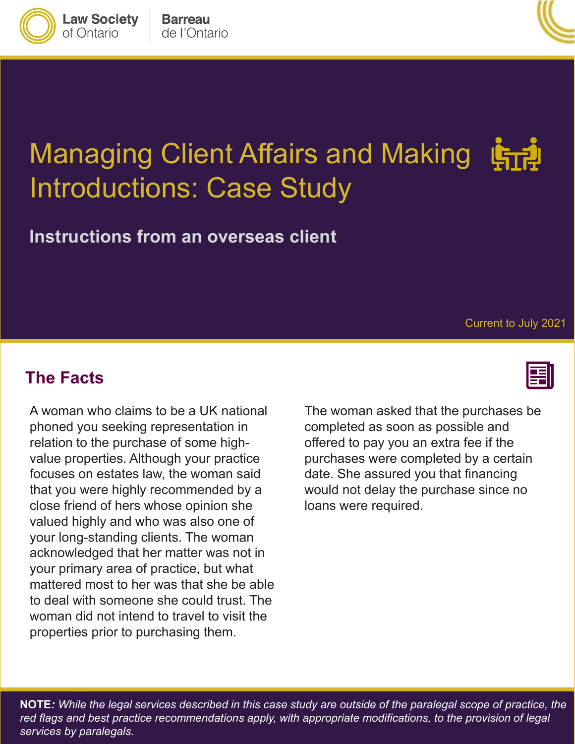

**Law Society** 

of Ontario



# Managing Client Affairs and Making Introductions: Case Study

**Instructions from an overseas client**

Current to July 2021

#### **The Facts**

A woman who claims to be a UK national phoned you seeking representation in relation to the purchase of some highvalue properties. Although your practice focuses on estates law, the woman said that you were highly recommended by a close friend of hers whose opinion she valued highly and who was also one of your long-standing clients. The woman acknowledged that her matter was not in your primary area of practice, but what mattered most to her was that she be able to deal with someone she could trust. The woman did not intend to travel to visit the properties prior to purchasing them.

The woman asked that the purchases be completed as soon as possible and offered to pay you an extra fee if the purchases were completed by a certain date. She assured you that financing would not delay the purchase since no loans were required.

**NOTE***: While the legal services described in this case study are outside of the paralegal scope of practice, the*  red flags and best practice recommendations apply, with appropriate modifications, to the provision of legal *services by paralegals.*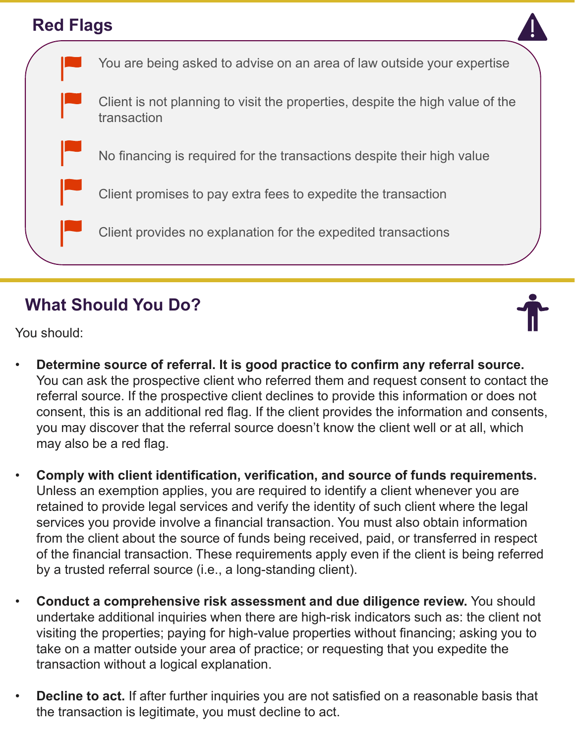#### **Red Flags**



## **What Should You Do?**



You should:

- **Determine source of referral. It is good practice to confirm any referral source.**  You can ask the prospective client who referred them and request consent to contact the referral source. If the prospective client declines to provide this information or does not consent, this is an additional red flag. If the client provides the information and consents, you may discover that the referral source doesn't know the client well or at all, which may also be a red flag.
- **Comply with client identification, verification, and source of funds requirements.**  Unless an exemption applies, you are required to identify a client whenever you are retained to provide legal services and verify the identity of such client where the legal services you provide involve a financial transaction. You must also obtain information from the client about the source of funds being received, paid, or transferred in respect of the financial transaction. These requirements apply even if the client is being referred by a trusted referral source (i.e., a long-standing client).
- **Conduct a comprehensive risk assessment and due diligence review.** You should undertake additional inquiries when there are high-risk indicators such as: the client not visiting the properties; paying for high-value properties without financing; asking you to take on a matter outside your area of practice; or requesting that you expedite the transaction without a logical explanation.
- **Decline to act.** If after further inquiries you are not satisfied on a reasonable basis that the transaction is legitimate, you must decline to act.